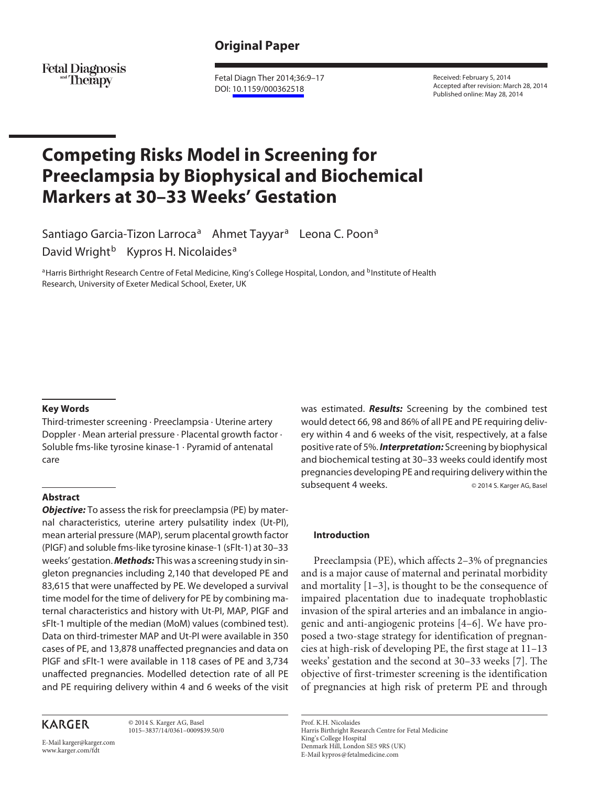# **Original Paper**

**Fetal Diagnosis** and **Therapy** 

 Fetal Diagn Ther 2014;36:9–17 DOI: [10.1159/000362518](http://dx.doi.org/10.1159%2F000362518)

 Received: February 5, 2014 Accepted after revision: March 28, 2014 Published online: May 28, 2014

# **Competing Risks Model in Screening for Preeclampsia by Biophysical and Biochemical Markers at 30–33 Weeks' Gestation**

Santiago Garcia-Tizon Larroca<sup>a</sup> Ahmet Tayyar<sup>a</sup> Leona C. Poon<sup>a</sup> David Wright<sup>b</sup> Kypros H. Nicolaides<sup>a</sup>

a Harris Birthright Research Centre of Fetal Medicine, King's College Hospital, London, and <sup>b</sup>Institute of Health Research, University of Exeter Medical School, Exeter, UK

## **Key Words**

 Third-trimester screening · Preeclampsia · Uterine artery Doppler · Mean arterial pressure · Placental growth factor · Soluble fms-like tyrosine kinase-1 · Pyramid of antenatal care

## **Abstract**

*Objective:* To assess the risk for preeclampsia (PE) by maternal characteristics, uterine artery pulsatility index (Ut-PI), mean arterial pressure (MAP), serum placental growth factor (PlGF) and soluble fms-like tyrosine kinase-1 (sFlt-1) at 30–33 weeks' gestation. *Methods:* This was a screening study in singleton pregnancies including 2,140 that developed PE and 83,615 that were unaffected by PE. We developed a survival time model for the time of delivery for PE by combining maternal characteristics and history with Ut-PI, MAP, PlGF and sFlt-1 multiple of the median (MoM) values (combined test). Data on third-trimester MAP and Ut-PI were available in 350 cases of PE, and 13,878 unaffected pregnancies and data on PlGF and sFlt-1 were available in 118 cases of PE and 3,734 unaffected pregnancies. Modelled detection rate of all PE and PE requiring delivery within 4 and 6 weeks of the visit

# **KARGER**

 © 2014 S. Karger AG, Basel 1015–3837/14/0361–0009\$39.50/0

E-Mail karger@karger.com www.karger.com/fdt

was estimated. *Results:* Screening by the combined test would detect 66, 98 and 86% of all PE and PE requiring delivery within 4 and 6 weeks of the visit, respectively, at a false positive rate of 5%. *Interpretation:* Screening by biophysical and biochemical testing at 30–33 weeks could identify most pregnancies developing PE and requiring delivery within the subsequent 4 weeks. <br>  $@ 2014$  S. Karger AG, Basel

## **Introduction**

 Preeclampsia (PE), which affects 2–3% of pregnancies and is a major cause of maternal and perinatal morbidity and mortality  $[1-3]$ , is thought to be the consequence of impaired placentation due to inadequate trophoblastic invasion of the spiral arteries and an imbalance in angiogenic and anti-angiogenic proteins [4–6] . We have proposed a two-stage strategy for identification of pregnancies at high-risk of developing PE, the first stage at 11–13 weeks' gestation and the second at 30–33 weeks [7]. The objective of first-trimester screening is the identification of pregnancies at high risk of preterm PE and through

 Prof. K.H. Nicolaides Harris Birthright Research Centre for Fetal Medicine King's College Hospital Denmark Hill, London SE5 9RS (UK) E-Mail kypros @ fetalmedicine.com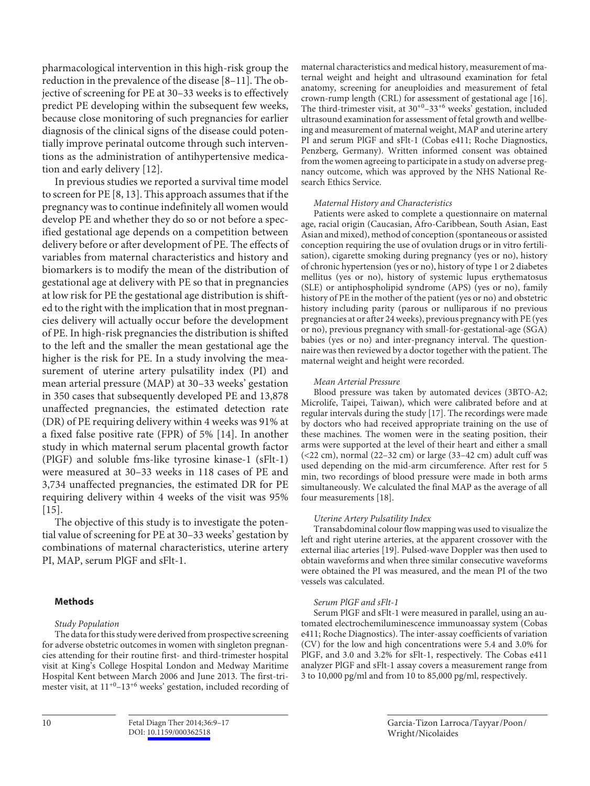pharmacological intervention in this high-risk group the reduction in the prevalence of the disease [8–11] . The objective of screening for PE at 30–33 weeks is to effectively predict PE developing within the subsequent few weeks, because close monitoring of such pregnancies for earlier diagnosis of the clinical signs of the disease could potentially improve perinatal outcome through such interventions as the administration of antihypertensive medication and early delivery [12] .

 In previous studies we reported a survival time model to screen for PE [8, 13] . This approach assumes that if the pregnancy was to continue indefinitely all women would develop PE and whether they do so or not before a specified gestational age depends on a competition between delivery before or after development of PE. The effects of variables from maternal characteristics and history and biomarkers is to modify the mean of the distribution of gestational age at delivery with PE so that in pregnancies at low risk for PE the gestational age distribution is shifted to the right with the implication that in most pregnancies delivery will actually occur before the development of PE. In high-risk pregnancies the distribution is shifted to the left and the smaller the mean gestational age the higher is the risk for PE. In a study involving the measurement of uterine artery pulsatility index (PI) and mean arterial pressure (MAP) at 30–33 weeks' gestation in 350 cases that subsequently developed PE and 13,878 unaffected pregnancies, the estimated detection rate (DR) of PE requiring delivery within 4 weeks was 91% at a fixed false positive rate (FPR) of 5% [14] . In another study in which maternal serum placental growth factor (PlGF) and soluble fms-like tyrosine kinase-1 (sFlt-1) were measured at 30–33 weeks in 118 cases of PE and 3,734 unaffected pregnancies, the estimated DR for PE requiring delivery within 4 weeks of the visit was 95%  $[15]$ .

 The objective of this study is to investigate the potential value of screening for PE at 30–33 weeks' gestation by combinations of maternal characteristics, uterine artery PI, MAP, serum PlGF and sFlt-1.

## **Methods**

## *Study Population*

 The data for this study were derived from prospective screening for adverse obstetric outcomes in women with singleton pregnancies attending for their routine first- and third-trimester hospital visit at King's College Hospital London and Medway Maritime Hospital Kent between March 2006 and June 2013. The first-trimester visit, at  $11^{+0}$ – $13^{+6}$  weeks' gestation, included recording of maternal characteristics and medical history, measurement of maternal weight and height and ultrasound examination for fetal anatomy, screening for aneuploidies and measurement of fetal crown-rump length (CRL) for assessment of gestational age [16] . The third-trimester visit, at  $30^{+0}$ – $33^{+6}$  weeks' gestation, included ultrasound examination for assessment of fetal growth and wellbeing and measurement of maternal weight, MAP and uterine artery PI and serum PlGF and sFlt-1 (Cobas e411; Roche Diagnostics, Penzberg, Germany). Written informed consent was obtained from the women agreeing to participate in a study on adverse pregnancy outcome, which was approved by the NHS National Research Ethics Service.

#### *Maternal History and Characteristics*

 Patients were asked to complete a questionnaire on maternal age, racial origin (Caucasian, Afro-Caribbean, South Asian, East Asian and mixed), method of conception (spontaneous or assisted conception requiring the use of ovulation drugs or in vitro fertilisation), cigarette smoking during pregnancy (yes or no), history of chronic hypertension (yes or no), history of type 1 or 2 diabetes mellitus (yes or no), history of systemic lupus erythematosus (SLE) or antiphospholipid syndrome (APS) (yes or no), family history of PE in the mother of the patient (yes or no) and obstetric history including parity (parous or nulliparous if no previous pregnancies at or after 24 weeks), previous pregnancy with PE (yes or no), previous pregnancy with small-for-gestational-age (SGA) babies (yes or no) and inter-pregnancy interval. The questionnaire was then reviewed by a doctor together with the patient. The maternal weight and height were recorded.

#### *Mean Arterial Pressure*

Blood pressure was taken by automated devices (3BTO-A2; Microlife, Taipei, Taiwan), which were calibrated before and at regular intervals during the study [17] . The recordings were made by doctors who had received appropriate training on the use of these machines. The women were in the seating position, their arms were supported at the level of their heart and either a small (<22 cm), normal (22–32 cm) or large (33–42 cm) adult cuff was used depending on the mid-arm circumference. After rest for 5 min, two recordings of blood pressure were made in both arms simultaneously. We calculated the final MAP as the average of all four measurements [18].

## *Uterine Artery Pulsatility Index*

 Transabdominal colour flow mapping was used to visualize the left and right uterine arteries, at the apparent crossover with the external iliac arteries [19] . Pulsed-wave Doppler was then used to obtain waveforms and when three similar consecutive waveforms were obtained the PI was measured, and the mean PI of the two vessels was calculated.

#### *Serum PlGF and sFlt-1*

 Serum PlGF and sFlt-1 were measured in parallel, using an automated electrochemiluminescence immunoassay system (Cobas e411; Roche Diagnostics). The inter-assay coefficients of variation (CV) for the low and high concentrations were 5.4 and 3.0% for PlGF, and 3.0 and 3.2% for sFlt-1, respectively. The Cobas e411 analyzer PlGF and sFlt-1 assay covers a measurement range from 3 to 10,000 pg/ml and from 10 to 85,000 pg/ml, respectively.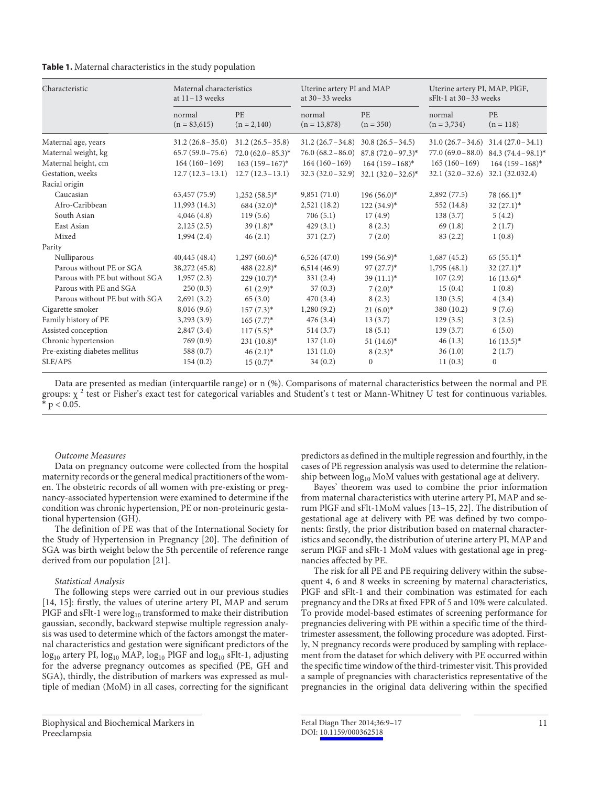#### **Table 1.** Maternal characteristics in the study population

| Characteristic                 | Maternal characteristics<br>at $11 - 13$ weeks |                            | Uterine artery PI and MAP<br>at $30 - 33$ weeks |                          | Uterine artery PI, MAP, PlGF,<br>$sFlt-1$ at 30 – 33 weeks |                                             |  |
|--------------------------------|------------------------------------------------|----------------------------|-------------------------------------------------|--------------------------|------------------------------------------------------------|---------------------------------------------|--|
|                                | normal<br>$(n = 83,615)$                       | <b>PE</b><br>$(n = 2,140)$ | normal<br>$(n = 13,878)$                        | <b>PE</b><br>$(n = 350)$ | normal<br>$(n = 3,734)$                                    | <b>PE</b><br>$(n = 118)$                    |  |
| Maternal age, years            | $31.2(26.8-35.0)$                              | $31.2 (26.5 - 35.8)$       | $31.2(26.7-34.8)$                               | $30.8(26.5-34.5)$        |                                                            | $31.0 (26.7 - 34.6) 31.4 (27.0 - 34.1)$     |  |
| Maternal weight, kg            | $65.7(59.0-75.6)$                              | $72.0 (62.0 - 85.3)^*$     | $76.0 (68.2 - 86.0)$                            | $87.8 (72.0 - 97.3)^*$   |                                                            | 77.0 $(69.0 - 88.0)$ 84.3 $(74.4 - 98.1)^*$ |  |
| Maternal height, cm            | $164(160-169)$                                 | $163(159-167)^*$           | $164(160-169)$                                  | $164(159-168)^*$         | $165(160-169)$                                             | $164(159-168)^*$                            |  |
| Gestation, weeks               | $12.7(12.3-13.1)$                              | $12.7(12.3-13.1)$          | $32.3(32.0-32.9)$                               | $32.1 (32.0 - 32.6)^*$   | $32.1 (32.0 - 32.6)$                                       | 32.1 (32.032.4)                             |  |
| Racial origin                  |                                                |                            |                                                 |                          |                                                            |                                             |  |
| Caucasian                      | 63,457 (75.9)                                  | $1,252(58.5)^*$            | 9,851(71.0)                                     | $196(56.0)^*$            | 2,892(77.5)                                                | $78(66.1)^*$                                |  |
| Afro-Caribbean                 | 11,993 (14.3)                                  | $684(32.0)^*$              | 2,521(18.2)                                     | $122(34.9)^*$            | 552 (14.8)                                                 | $32(27.1)^*$                                |  |
| South Asian                    | 4,046(4.8)                                     | 119(5.6)                   | 706(5.1)                                        | 17(4.9)                  | 138(3.7)                                                   | 5(4.2)                                      |  |
| East Asian                     | 2,125(2.5)                                     | $39(1.8)$ *                | 429(3.1)                                        | 8(2.3)                   | 69(1.8)                                                    | 2(1.7)                                      |  |
| Mixed                          | 1,994(2.4)                                     | 46(2.1)                    | 371(2.7)                                        | 7(2.0)                   | 83(2.2)                                                    | 1(0.8)                                      |  |
| Parity                         |                                                |                            |                                                 |                          |                                                            |                                             |  |
| Nulliparous                    | 40,445(48.4)                                   | $1,297(60.6)*$             | 6,526(47.0)                                     | $199(56.9)^*$            | 1,687(45.2)                                                | $65(55.1)^*$                                |  |
| Parous without PE or SGA       | 38,272 (45.8)                                  | $488 (22.8)^*$             | 6,514(46.9)                                     | $97(27.7)^*$             | 1,795(48.1)                                                | $32(27.1)^*$                                |  |
| Parous with PE but without SGA | 1,957(2.3)                                     | $229(10.7)^*$              | 331(2.4)                                        | $39(11.1)^*$             | 107(2.9)                                                   | $16(13.6)^*$                                |  |
| Parous with PE and SGA         | 250(0.3)                                       | $61(2.9)^*$                | 37(0.3)                                         | $7(2.0)*$                | 15(0.4)                                                    | 1(0.8)                                      |  |
| Parous without PE but with SGA | 2,691(3.2)                                     | 65(3.0)                    | 470(3.4)                                        | 8(2.3)                   | 130(3.5)                                                   | 4(3.4)                                      |  |
| Cigarette smoker               | 8,016 (9.6)                                    | $157(7.3)^*$               | 1,280(9.2)                                      | $21(6.0)*$               | 380 (10.2)                                                 | 9(7.6)                                      |  |
| Family history of PE           | 3,293(3.9)                                     | $165(7.7)^*$               | 476(3.4)                                        | 13(3.7)                  | 129(3.5)                                                   | 3(2.5)                                      |  |
| Assisted conception            | 2,847(3.4)                                     | $117(5.5)^*$               | 514(3.7)                                        | 18(5.1)                  | 139(3.7)                                                   | 6(5.0)                                      |  |
| Chronic hypertension           | 769(0.9)                                       | $231(10.8)^*$              | 137(1.0)                                        | $51(14.6)^*$             | 46(1.3)                                                    | $16(13.5)^*$                                |  |
| Pre-existing diabetes mellitus | 588 (0.7)                                      | $46(2.1)^*$                | 131(1.0)                                        | $8(2.3)^*$               | 36(1.0)                                                    | 2(1.7)                                      |  |
| SLE/APS                        | 154(0.2)                                       | $15(0.7)^*$                | 34(0.2)                                         | $\Omega$                 | 11(0.3)                                                    | $\mathbf{0}$                                |  |

Data are presented as median (interquartile range) or n (%). Comparisons of maternal characteristics between the normal and PE groups:  $\chi$   $^2$  test or Fisher's exact test for categorical variables and Student's t test or Mann-Whitney U test for continuous variables.  $*$  p < 0.05.

#### *Outcome Measures*

 Data on pregnancy outcome were collected from the hospital maternity records or the general medical practitioners of the women. The obstetric records of all women with pre-existing or pregnancy-associated hypertension were examined to determine if the condition was chronic hypertension, PE or non-proteinuric gestational hypertension (GH).

 The definition of PE was that of the International Society for the Study of Hypertension in Pregnancy [20]. The definition of SGA was birth weight below the 5th percentile of reference range derived from our population [21].

#### *Statistical Analysis*

 The following steps were carried out in our previous studies [14, 15]: firstly, the values of uterine artery PI, MAP and serum PlGF and sFlt-1 were  $log_{10}$  transformed to make their distribution gaussian, secondly, backward stepwise multiple regression analysis was used to determine which of the factors amongst the maternal characteristics and gestation were significant predictors of the  $log_{10}$  artery PI,  $log_{10}$  MAP,  $log_{10}$  PlGF and  $log_{10}$  sFlt-1, adjusting for the adverse pregnancy outcomes as specified (PE, GH and SGA), thirdly, the distribution of markers was expressed as multiple of median (MoM) in all cases, correcting for the significant predictors as defined in the multiple regression and fourthly, in the cases of PE regression analysis was used to determine the relationship between  $log_{10}$  MoM values with gestational age at delivery.

 Bayes' theorem was used to combine the prior information from maternal characteristics with uterine artery PI, MAP and serum PlGF and sFlt-1MoM values [13–15, 22] . The distribution of gestational age at delivery with PE was defined by two components: firstly, the prior distribution based on maternal characteristics and secondly, the distribution of uterine artery PI, MAP and serum PlGF and sFlt-1 MoM values with gestational age in pregnancies affected by PE.

 The risk for all PE and PE requiring delivery within the subsequent 4, 6 and 8 weeks in screening by maternal characteristics, PlGF and sFlt-1 and their combination was estimated for each pregnancy and the DRs at fixed FPR of 5 and 10% were calculated. To provide model-based estimates of screening performance for pregnancies delivering with PE within a specific time of the thirdtrimester assessment, the following procedure was adopted. Firstly, N pregnancy records were produced by sampling with replacement from the dataset for which delivery with PE occurred within the specific time window of the third-trimester visit. This provided a sample of pregnancies with characteristics representative of the pregnancies in the original data delivering within the specified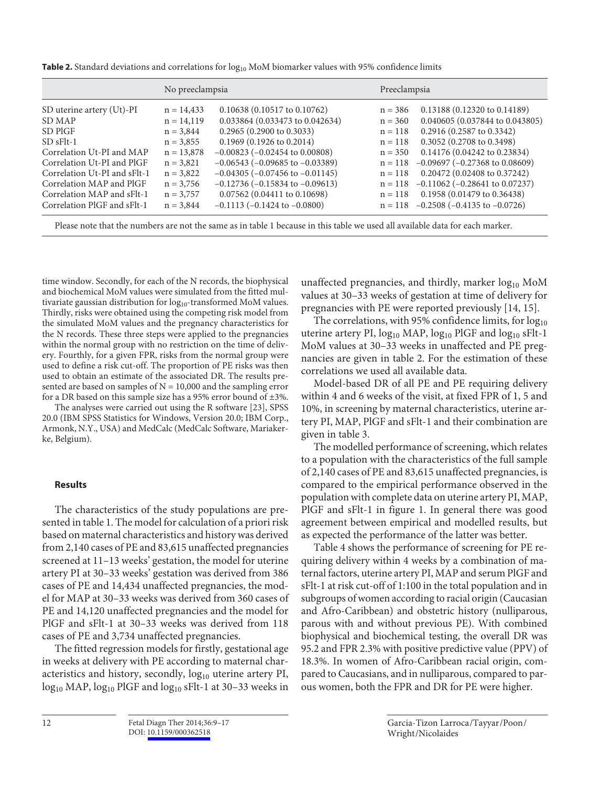**Table 2.** Standard deviations and correlations for  $log_{10}$  MoM biomarker values with 95% confidence limits

|                                                                                                                                                                                                                      | No preeclampsia                                                                                                                        |                                                                                                                                                                                                                                                                                                                                               |                                                                                                                   | Preeclampsia                                                                                                                                                                                                                                                                                                     |  |  |  |
|----------------------------------------------------------------------------------------------------------------------------------------------------------------------------------------------------------------------|----------------------------------------------------------------------------------------------------------------------------------------|-----------------------------------------------------------------------------------------------------------------------------------------------------------------------------------------------------------------------------------------------------------------------------------------------------------------------------------------------|-------------------------------------------------------------------------------------------------------------------|------------------------------------------------------------------------------------------------------------------------------------------------------------------------------------------------------------------------------------------------------------------------------------------------------------------|--|--|--|
| SD uterine artery (Ut)-PI<br>SD MAP<br>SD PIGF<br>$SD$ $sF1t-1$<br>Correlation Ut-PI and MAP<br>Correlation Ut-PI and PIGF<br>Correlation Ut-PI and sFlt-1<br>Correlation MAP and PIGF<br>Correlation MAP and sFlt-1 | $n = 14,433$<br>$n = 14,119$<br>$n = 3,844$<br>$n = 3,855$<br>$n = 13,878$<br>$n = 3,821$<br>$n = 3,822$<br>$n = 3,756$<br>$n = 3,757$ | 0.10638 (0.10517 to 0.10762)<br>0.033864 (0.033473 to 0.042634)<br>$0.2965(0.2900 \text{ to } 0.3033)$<br>$0.1969$ (0.1926 to 0.2014)<br>$-0.00823$ ( $-0.02454$ to 0.00808)<br>$-0.06543$ ( $-0.09685$ to $-0.03389$ )<br>$-0.04305$ ( $-0.07456$ to $-0.01145$ )<br>$-0.12736$ ( $-0.15834$ to $-0.09613$ )<br>0.07562 (0.04411 to 0.10698) | $n = 386$<br>$n = 360$<br>$n = 118$<br>$n = 118$<br>$n = 350$<br>$n = 118$<br>$n = 118$<br>$n = 118$<br>$n = 118$ | 0.13188 (0.12320 to 0.14189)<br>0.040605 (0.037844 to 0.043805)<br>$0.2916(0.2587 \text{ to } 0.3342)$<br>0.3052 (0.2708 to 0.3498)<br>0.14176 (0.04242 to 0.23834)<br>$-0.09697$ ( $-0.27368$ to 0.08609)<br>0.20472 (0.02408 to 0.37242)<br>$-0.11062$ ( $-0.28641$ to 0.07237)<br>0.1958 (0.01479 to 0.36438) |  |  |  |
| Correlation PIGF and sFlt-1                                                                                                                                                                                          | $n = 3,844$                                                                                                                            | $-0.1113$ ( $-0.1424$ to $-0.0800$ )                                                                                                                                                                                                                                                                                                          | $n = 118$                                                                                                         | $-0.2508$ ( $-0.4135$ to $-0.0726$ )                                                                                                                                                                                                                                                                             |  |  |  |

Please note that the numbers are not the same as in table 1 because in this table we used all available data for each marker.

time window. Secondly, for each of the N records, the biophysical and biochemical MoM values were simulated from the fitted multivariate gaussian distribution for  $log_{10}$ -transformed MoM values. Thirdly, risks were obtained using the competing risk model from the simulated MoM values and the pregnancy characteristics for the N records. These three steps were applied to the pregnancies within the normal group with no restriction on the time of delivery. Fourthly, for a given FPR, risks from the normal group were used to define a risk cut-off. The proportion of PE risks was then used to obtain an estimate of the associated DR. The results presented are based on samples of  $N = 10,000$  and the sampling error for a DR based on this sample size has a 95% error bound of  $\pm 3\%$ .

The analyses were carried out using the R software [23], SPSS 20.0 (IBM SPSS Statistics for Windows, Version 20.0; IBM Corp., Armonk, N.Y., USA) and MedCalc (MedCalc Software, Mariakerke, Belgium).

## **Results**

 The characteristics of the study populations are presented in table 1. The model for calculation of a priori risk based on maternal characteristics and history was derived from 2,140 cases of PE and 83,615 unaffected pregnancies screened at 11–13 weeks' gestation, the model for uterine artery PI at 30–33 weeks' gestation was derived from 386 cases of PE and 14,434 unaffected pregnancies, the model for MAP at 30–33 weeks was derived from 360 cases of PE and 14,120 unaffected pregnancies and the model for PlGF and sFlt-1 at 30–33 weeks was derived from 118 cases of PE and 3,734 unaffected pregnancies.

 The fitted regression models for firstly, gestational age in weeks at delivery with PE according to maternal characteristics and history, secondly, log<sub>10</sub> uterine artery PI,  $log_{10}$  MAP,  $log_{10}$  PlGF and  $log_{10}$  sFlt-1 at 30–33 weeks in unaffected pregnancies, and thirdly, marker  $log_{10}$  MoM values at 30–33 weeks of gestation at time of delivery for pregnancies with PE were reported previously [14, 15] .

The correlations, with 95% confidence limits, for  $log_{10}$ uterine artery PI,  $log_{10}$  MAP,  $log_{10}$  PlGF and  $log_{10}$  sFlt-1 MoM values at 30–33 weeks in unaffected and PE pregnancies are given in table 2. For the estimation of these correlations we used all available data.

 Model-based DR of all PE and PE requiring delivery within 4 and 6 weeks of the visit, at fixed FPR of 1, 5 and 10%, in screening by maternal characteristics, uterine artery PI, MAP, PlGF and sFlt-1 and their combination are given in table 3.

 The modelled performance of screening, which relates to a population with the characteristics of the full sample of 2,140 cases of PE and 83,615 unaffected pregnancies, is compared to the empirical performance observed in the population with complete data on uterine artery PI, MAP, PlGF and sFlt-1 in figure 1. In general there was good agreement between empirical and modelled results, but as expected the performance of the latter was better.

 Table 4 shows the performance of screening for PE requiring delivery within 4 weeks by a combination of maternal factors, uterine artery PI, MAP and serum PlGF and sFlt-1 at risk cut-off of 1:100 in the total population and in subgroups of women according to racial origin (Caucasian and Afro-Caribbean) and obstetric history (nulliparous, parous with and without previous PE). With combined biophysical and biochemical testing, the overall DR was 95.2 and FPR 2.3% with positive predictive value (PPV) of 18.3%. In women of Afro-Caribbean racial origin, compared to Caucasians, and in nulliparous, compared to parous women, both the FPR and DR for PE were higher.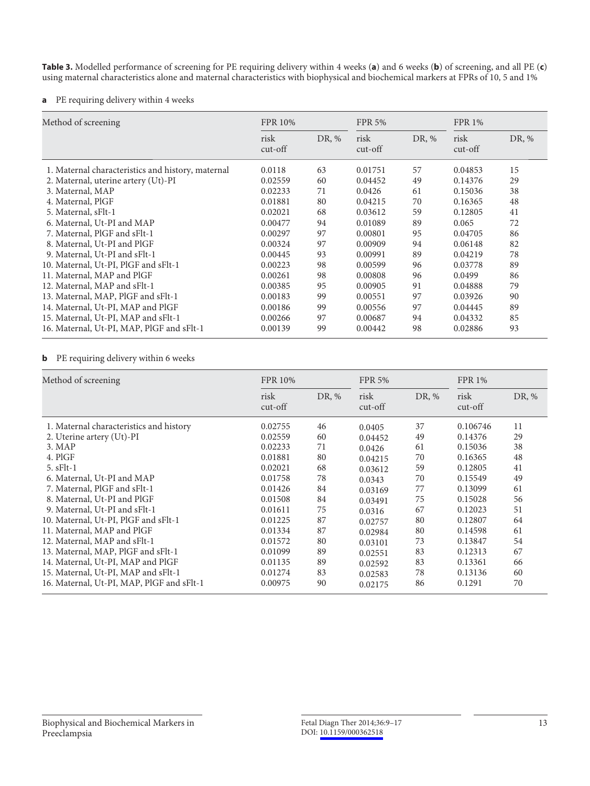**Table 3.** Modelled performance of screening for PE requiring delivery within 4 weeks (**a**) and 6 weeks (**b**) of screening, and all PE (**c**) using maternal characteristics alone and maternal characteristics with biophysical and biochemical markers at FPRs of 10, 5 and 1%

## **a** PE requiring delivery within 4 weeks

| Method of screening                               | <b>FPR 10%</b>    |       | <b>FPR 5%</b>     |       | <b>FPR 1%</b>     |       |
|---------------------------------------------------|-------------------|-------|-------------------|-------|-------------------|-------|
|                                                   | risk<br>$cut-off$ | DR, % | risk<br>$cut-off$ | DR, % | risk<br>$cut-off$ | DR, % |
| 1. Maternal characteristics and history, maternal | 0.0118            | 63    | 0.01751           | 57    | 0.04853           | 15    |
| 2. Maternal, uterine artery (Ut)-PI               | 0.02559           | 60    | 0.04452           | 49    | 0.14376           | 29    |
| 3. Maternal, MAP                                  | 0.02233           | 71    | 0.0426            | 61    | 0.15036           | 38    |
| 4. Maternal, PlGF                                 | 0.01881           | 80    | 0.04215           | 70    | 0.16365           | 48    |
| 5. Maternal, sFlt-1                               | 0.02021           | 68    | 0.03612           | 59    | 0.12805           | 41    |
| 6. Maternal, Ut-PI and MAP                        | 0.00477           | 94    | 0.01089           | 89    | 0.065             | 72    |
| 7. Maternal, PIGF and sFlt-1                      | 0.00297           | 97    | 0.00801           | 95    | 0.04705           | 86    |
| 8. Maternal, Ut-PI and PIGF                       | 0.00324           | 97    | 0.00909           | 94    | 0.06148           | 82    |
| 9. Maternal, Ut-PI and sFlt-1                     | 0.00445           | 93    | 0.00991           | 89    | 0.04219           | 78    |
| 10. Maternal, Ut-PI, PlGF and sFlt-1              | 0.00223           | 98    | 0.00599           | 96    | 0.03778           | 89    |
| 11. Maternal, MAP and PIGF                        | 0.00261           | 98    | 0.00808           | 96    | 0.0499            | 86    |
| 12. Maternal, MAP and sFlt-1                      | 0.00385           | 95    | 0.00905           | 91    | 0.04888           | 79    |
| 13. Maternal, MAP, PIGF and sFlt-1                | 0.00183           | 99    | 0.00551           | 97    | 0.03926           | 90    |
| 14. Maternal, Ut-PI, MAP and PIGF                 | 0.00186           | 99    | 0.00556           | 97    | 0.04445           | 89    |
| 15. Maternal, Ut-PI, MAP and sFlt-1               | 0.00266           | 97    | 0.00687           | 94    | 0.04332           | 85    |
| 16. Maternal, Ut-PI, MAP, PIGF and sFlt-1         | 0.00139           | 99    | 0.00442           | 98    | 0.02886           | 93    |

# **b** PE requiring delivery within 6 weeks

| Method of screening                       | <b>FPR 10%</b>    |       | <b>FPR 5%</b>     |       | <b>FPR 1%</b>     |       |
|-------------------------------------------|-------------------|-------|-------------------|-------|-------------------|-------|
|                                           | risk<br>$cut-off$ | DR, % | risk<br>$cut-off$ | DR, % | risk<br>$cut-off$ | DR, % |
| 1. Maternal characteristics and history   | 0.02755           | 46    | 0.0405            | 37    | 0.106746          | 11    |
| 2. Uterine artery (Ut)-PI                 | 0.02559           | 60    | 0.04452           | 49    | 0.14376           | 29    |
| 3. <b>MAP</b>                             | 0.02233           | 71    | 0.0426            | 61    | 0.15036           | 38    |
| 4. PIGF                                   | 0.01881           | 80    | 0.04215           | 70    | 0.16365           | 48    |
| $5.$ sFlt-1                               | 0.02021           | 68    | 0.03612           | 59    | 0.12805           | 41    |
| 6. Maternal, Ut-PI and MAP                | 0.01758           | 78    | 0.0343            | 70    | 0.15549           | 49    |
| 7. Maternal, PIGF and sFlt-1              | 0.01426           | 84    | 0.03169           | 77    | 0.13099           | 61    |
| 8. Maternal, Ut-PI and PIGF               | 0.01508           | 84    | 0.03491           | 75    | 0.15028           | 56    |
| 9. Maternal, Ut-PI and sFlt-1             | 0.01611           | 75    | 0.0316            | 67    | 0.12023           | 51    |
| 10. Maternal, Ut-PI, PIGF and sFlt-1      | 0.01225           | 87    | 0.02757           | 80    | 0.12807           | 64    |
| 11. Maternal, MAP and PIGF                | 0.01334           | 87    | 0.02984           | 80    | 0.14598           | 61    |
| 12. Maternal, MAP and sFlt-1              | 0.01572           | 80    | 0.03101           | 73    | 0.13847           | 54    |
| 13. Maternal, MAP, PIGF and sFlt-1        | 0.01099           | 89    | 0.02551           | 83    | 0.12313           | 67    |
| 14. Maternal, Ut-PI, MAP and PIGF         | 0.01135           | 89    | 0.02592           | 83    | 0.13361           | 66    |
| 15. Maternal, Ut-PI, MAP and sFlt-1       | 0.01274           | 83    | 0.02583           | 78    | 0.13136           | 60    |
| 16. Maternal, Ut-PI, MAP, PIGF and sFlt-1 | 0.00975           | 90    | 0.02175           | 86    | 0.1291            | 70    |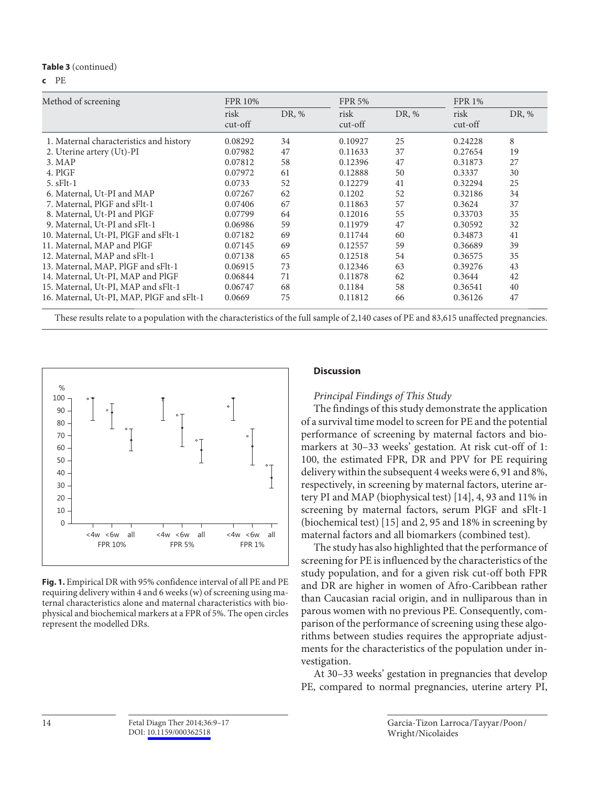#### **Table 3** (continued)

**c** PE

| Method of screening                       | <b>FPR 10%</b>    |       | <b>FPR 5%</b>     |       | <b>FPR 1%</b>     |       |  |
|-------------------------------------------|-------------------|-------|-------------------|-------|-------------------|-------|--|
|                                           | risk<br>$cut-off$ | DR, % | risk<br>$cut-off$ | DR, % | risk<br>$cut-off$ | DR, % |  |
| 1. Maternal characteristics and history   | 0.08292           | 34    | 0.10927           | 25    | 0.24228           | 8     |  |
| 2. Uterine artery (Ut)-PI                 | 0.07982           | 47    | 0.11633           | 37    | 0.27654           | 19    |  |
| 3. <b>MAP</b>                             | 0.07812           | 58    | 0.12396           | 47    | 0.31873           | 27    |  |
| 4. PIGF                                   | 0.07972           | 61    | 0.12888           | 50    | 0.3337            | 30    |  |
| $5. sFlt-1$                               | 0.0733            | 52    | 0.12279           | 41    | 0.32294           | 25    |  |
| 6. Maternal, Ut-PI and MAP                | 0.07267           | 62    | 0.1202            | 52    | 0.32186           | 34    |  |
| 7. Maternal, PIGF and sFlt-1              | 0.07406           | 67    | 0.11863           | 57    | 0.3624            | 37    |  |
| 8. Maternal, Ut-PI and PlGF               | 0.07799           | 64    | 0.12016           | 55    | 0.33703           | 35    |  |
| 9. Maternal, Ut-PI and sFlt-1             | 0.06986           | 59    | 0.11979           | 47    | 0.30592           | 32    |  |
| 10. Maternal, Ut-PI, PlGF and sFlt-1      | 0.07182           | 69    | 0.11744           | 60    | 0.34873           | 41    |  |
| 11. Maternal, MAP and PIGF                | 0.07145           | 69    | 0.12557           | 59    | 0.36689           | 39    |  |
| 12. Maternal, MAP and sFlt-1              | 0.07138           | 65    | 0.12518           | 54    | 0.36575           | 35    |  |
| 13. Maternal, MAP, PlGF and sFlt-1        | 0.06915           | 73    | 0.12346           | 63    | 0.39276           | 43    |  |
| 14. Maternal, Ut-PI, MAP and PIGF         | 0.06844           | 71    | 0.11878           | 62    | 0.3644            | 42    |  |
| 15. Maternal, Ut-PI, MAP and sFlt-1       | 0.06747           | 68    | 0.1184            | 58    | 0.36541           | 40    |  |
| 16. Maternal, Ut-PI, MAP, PIGF and sFlt-1 | 0.0669            | 75    | 0.11812           | 66    | 0.36126           | 47    |  |

These results relate to a population with the characteristics of the full sample of 2,140 cases of PE and 83,615 unaffected pregnancies.



**Fig. 1.** Empirical DR with 95% confidence interval of all PE and PE requiring delivery within 4 and 6 weeks (w) of screening using maternal characteristics alone and maternal characteristics with biophysical and biochemical markers at a FPR of 5%. The open circles represent the modelled DRs.

## **Discussion**

 *Principal Findings of This Study* 

 The findings of this study demonstrate the application of a survival time model to screen for PE and the potential performance of screening by maternal factors and biomarkers at 30–33 weeks' gestation. At risk cut-off of 1: 100, the estimated FPR, DR and PPV for PE requiring delivery within the subsequent 4 weeks were 6, 91 and 8%, respectively, in screening by maternal factors, uterine artery PI and MAP (biophysical test) [14] , 4, 93 and 11% in screening by maternal factors, serum PlGF and sFlt-1 (biochemical test) [15] and 2, 95 and 18% in screening by maternal factors and all biomarkers (combined test).

 The study has also highlighted that the performance of screening for PE is influenced by the characteristics of the study population, and for a given risk cut-off both FPR and DR are higher in women of Afro-Caribbean rather than Caucasian racial origin, and in nulliparous than in parous women with no previous PE. Consequently, comparison of the performance of screening using these algorithms between studies requires the appropriate adjustments for the characteristics of the population under investigation.

At 30–33 weeks' gestation in pregnancies that develop PE, compared to normal pregnancies, uterine artery PI,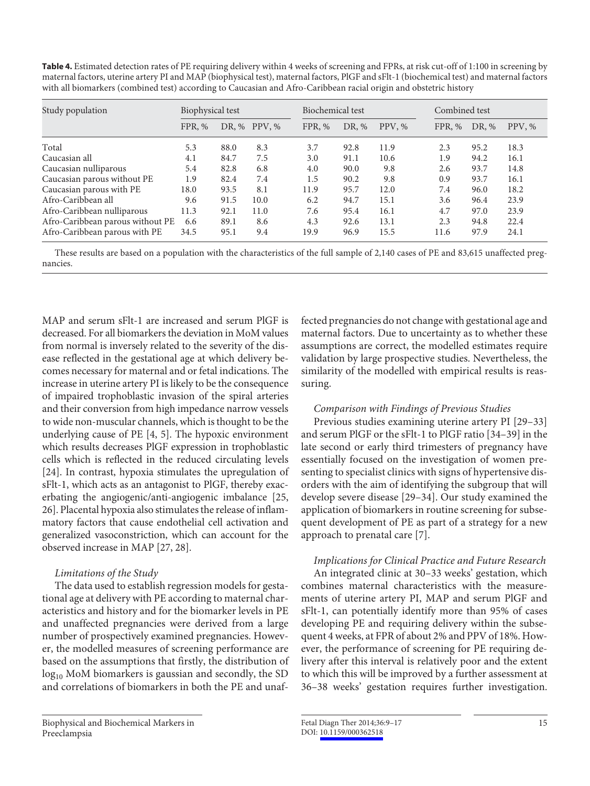**Table 4.** Estimated detection rates of PE requiring delivery within 4 weeks of screening and FPRs, at risk cut-off of 1:100 in screening by maternal factors, uterine artery PI and MAP (biophysical test), maternal factors, PlGF and sFlt-1 (biochemical test) and maternal factors with all biomarkers (combined test) according to Caucasian and Afro-Caribbean racial origin and obstetric history

| Study population                 | Biophysical test |      |              | Biochemical test |       |        |        | Combined test |        |  |
|----------------------------------|------------------|------|--------------|------------------|-------|--------|--------|---------------|--------|--|
|                                  | FPR, %           |      | DR, % PPV, % | FPR, %           | DR, % | PPV, % | FPR, % | DR, %         | PPV, % |  |
| Total                            | 5.3              | 88.0 | 8.3          | 3.7              | 92.8  | 11.9   | 2.3    | 95.2          | 18.3   |  |
| Caucasian all                    | 4.1              | 84.7 | 7.5          | 3.0              | 91.1  | 10.6   | 1.9    | 94.2          | 16.1   |  |
| Caucasian nulliparous            | 5.4              | 82.8 | 6.8          | 4.0              | 90.0  | 9.8    | 2.6    | 93.7          | 14.8   |  |
| Caucasian parous without PE      | 1.9              | 82.4 | 7.4          | 1.5              | 90.2  | 9.8    | 0.9    | 93.7          | 16.1   |  |
| Caucasian parous with PE         | 18.0             | 93.5 | 8.1          | 11.9             | 95.7  | 12.0   | 7.4    | 96.0          | 18.2   |  |
| Afro-Caribbean all               | 9.6              | 91.5 | 10.0         | 6.2              | 94.7  | 15.1   | 3.6    | 96.4          | 23.9   |  |
| Afro-Caribbean nulliparous       | 11.3             | 92.1 | 11.0         | 7.6              | 95.4  | 16.1   | 4.7    | 97.0          | 23.9   |  |
| Afro-Caribbean parous without PE | 6.6              | 89.1 | 8.6          | 4.3              | 92.6  | 13.1   | 2.3    | 94.8          | 22.4   |  |
| Afro-Caribbean parous with PE    | 34.5             | 95.1 | 9.4          | 19.9             | 96.9  | 15.5   | 11.6   | 97.9          | 24.1   |  |

 These results are based on a population with the characteristics of the full sample of 2,140 cases of PE and 83,615 unaffected pregnancies.

MAP and serum sFlt-1 are increased and serum PlGF is decreased. For all biomarkers the deviation in MoM values from normal is inversely related to the severity of the disease reflected in the gestational age at which delivery becomes necessary for maternal and or fetal indications. The increase in uterine artery PI is likely to be the consequence of impaired trophoblastic invasion of the spiral arteries and their conversion from high impedance narrow vessels to wide non-muscular channels, which is thought to be the underlying cause of PE [4, 5]. The hypoxic environment which results decreases PlGF expression in trophoblastic cells which is reflected in the reduced circulating levels [24]. In contrast, hypoxia stimulates the upregulation of sFlt-1, which acts as an antagonist to PlGF, thereby exacerbating the angiogenic/anti-angiogenic imbalance [25, 26] . Placental hypoxia also stimulates the release of inflammatory factors that cause endothelial cell activation and generalized vasoconstriction, which can account for the observed increase in MAP [27, 28] .

# *Limitations of the Study*

 The data used to establish regression models for gestational age at delivery with PE according to maternal characteristics and history and for the biomarker levels in PE and unaffected pregnancies were derived from a large number of prospectively examined pregnancies. However, the modelled measures of screening performance are based on the assumptions that firstly, the distribution of  $log_{10}$  MoM biomarkers is gaussian and secondly, the SD and correlations of biomarkers in both the PE and unaffected pregnancies do not change with gestational age and maternal factors. Due to uncertainty as to whether these assumptions are correct, the modelled estimates require validation by large prospective studies. Nevertheless, the similarity of the modelled with empirical results is reassuring.

# *Comparison with Findings of Previous Studies*

 Previous studies examining uterine artery PI [29–33] and serum PlGF or the sFlt-1 to PlGF ratio [34–39] in the late second or early third trimesters of pregnancy have essentially focused on the investigation of women presenting to specialist clinics with signs of hypertensive disorders with the aim of identifying the subgroup that will develop severe disease [29–34] . Our study examined the application of biomarkers in routine screening for subsequent development of PE as part of a strategy for a new approach to prenatal care [7] .

# *Implications for Clinical Practice and Future Research*

 An integrated clinic at 30–33 weeks' gestation, which combines maternal characteristics with the measurements of uterine artery PI, MAP and serum PlGF and sFlt-1, can potentially identify more than 95% of cases developing PE and requiring delivery within the subsequent 4 weeks, at FPR of about 2% and PPV of 18%. However, the performance of screening for PE requiring delivery after this interval is relatively poor and the extent to which this will be improved by a further assessment at 36–38 weeks' gestation requires further investigation.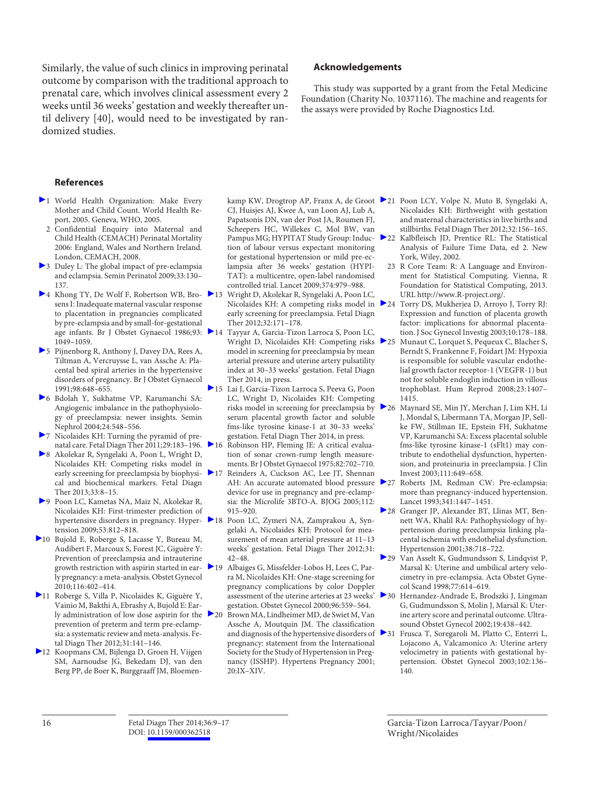Similarly, the value of such clinics in improving perinatal outcome by comparison with the traditional approach to prenatal care, which involves clinical assessment every 2 weeks until 36 weeks' gestation and weekly thereafter until delivery [40], would need to be investigated by randomized studies.

## **Acknowledgements**

 This study was supported by a grant from the Fetal Medicine Foundation (Charity No. 1037116). The machine and reagents for the assays were provided by Roche Diagnostics Ltd.

### **References**

- 1 World Health Organization: Make Every Mother and Child Count. World Health Report, 2005. Geneva, WHO, 2005.
	- 2 Confidential Enquiry into Maternal and Child Health (CEMACH) Perinatal Mortality 2006: England, Wales and Northern Ireland. London, CEMACH, 2008.
- 3 Duley L: The global impact of pre-eclampsia and eclampsia. Semin Perinatol 2009;33:130– 137.
- ▶ 4 Khong TY, De Wolf F, Robertson WB, Bro- ▶ 13 sens I: Inadequate maternal vascular response to placentation in pregnancies complicated by pre-eclampsia and by small-for-gestational age infants. Br J Obstet Gynaecol 1986;93: 1049–1059.
- 5 Pijnenborg R, Anthony J, Davey DA, Rees A, Tiltman A, Vercruysse L, van Assche A: Placental bed spiral arteries in the hypertensive disorders of pregnancy. Br J Obstet Gynaecol 1991;98:648–655.
- 6 Bdolah Y, Sukhatme VP, Karumanchi SA: Angiogenic imbalance in the pathophysiology of preeclampsia: newer insights. Semin Nephrol 2004;24:548–556.
- 7 Nicolaides KH: Turning the pyramid of prenatal care. Fetal Diagn Ther 2011;29:183–196.
- 8 Akolekar R, Syngelaki A, Poon L, Wright D, Nicolaides KH: Competing risks model in early screening for preeclampsia by biophysical and biochemical markers. Fetal Diagn Ther 2013;33:8–15.
- 9 Poon LC, Kametas NA, Maiz N, Akolekar R, Nicolaides KH: First-trimester prediction of tension 2009;53:812–818.
- 10 Bujold E, Roberge S, Lacasse Y, Bureau M, Audibert F, Marcoux S, Forest JC, Giguère Y: Prevention of preeclampsia and intrauterine growth restriction with aspirin started in early pregnancy: a meta-analysis. Obstet Gynecol 2010;116:402–414.
- 11 Roberge S, Villa P, Nicolaides K, Giguère Y, Vainio M, Bakthi A, Ebrashy A, Bujold E: Early administration of low dose aspirin for the 20 prevention of preterm and term pre-eclampsia: a systematic review and meta-analysis. Fetal Diagn Ther 2012;31:141–146.
- 12 Koopmans CM, Bijlenga D, Groen H, Vijgen SM, Aarnoudse JG, Bekedam DJ, van den Berg PP, de Boer K, Burggraaff JM, Bloemen-

CJ, Huisjes AJ, Kwee A, van Loon AJ, Lub A, Papatsonis DN, van der Post JA, Roumen FJ, Scheepers HC, Willekes C, Mol BW, van Pampus MG; HYPITAT Study Group: Induction of labour versus expectant monitoring for gestational hypertension or mild pre-eclampsia after 36 weeks' gestation (HYPI-TAT): a multicentre, open-label randomised controlled trial. Lancet 2009;374:979–988.

- 13 Wright D, Akolekar R, Syngelaki A, Poon LC, Nicolaides KH: A competing risks model in early screening for preeclampsia. Fetal Diagn Ther 2012;32:171–178.
- Tayyar A, Garcia-Tizon Larroca S, Poon LC, Wright D, Nicolaides KH: Competing risks 25 model in screening for preeclampsia by mean arterial pressure and uterine artery pulsatility index at 30–33 weeks' gestation. Fetal Diagn Ther 2014, in press.
- 15 Lai J, Garcia-Tizon Larroca S, Peeva G, Poon LC, Wright D, Nicolaides KH: Competing risks model in screening for preeclampsia by serum placental growth factor and soluble fms-like tyrosine kinase-1 at 30–33 weeks' gestation. Fetal Diagn Ther 2014, in press.
- Robinson HP, Fleming JE: A critical evaluation of sonar crown-rump length measurements. Br J Obstet Gynaecol 1975;82:702–710.
- 17 Reinders A, Cuckson AC, Lee JT, Shennan AH: An accurate automated blood pressure device for use in pregnancy and pre-eclampsia: the Microlife 3BTO-A. BJOG 2005;112: 915–920.
- hypertensive disorders in pregnancy. Hyper- 18 Poon LC, Zymeri NA, Zamprakou A, Syngelaki A, Nicolaides KH: Protocol for measurement of mean arterial pressure at 11–13 weeks' gestation. Fetal Diagn Ther 2012;31: 42–48.
	- Albaiges G, Missfelder-Lobos H, Lees C, Parra M, Nicolaides KH: One-stage screening for pregnancy complications by color Doppler assessment of the uterine arteries at 23 weeks' gestation. Obstet Gynecol 2000;96:559–564.
	- Brown MA, Lindheimer MD, de Swiet M, Van Assche A, Moutquin JM. The classification and diagnosis of the hypertensive disorders of > 31 pregnancy: statement from the International Society for the Study of Hypertension in Pregnancy (ISSHP). Hypertens Pregnancy 2001; 20:IX–XIV.
- kamp KW, Drogtrop AP, Franx A, de Groot 21 Poon LCY, Volpe N, Muto B, Syngelaki A, Nicolaides KH: Birthweight with gestation and maternal characteristics in live births and stillbirths. Fetal Diagn Ther 2012;32:156–165.
	- 22 Kalbfleisch JD, Prentice RL: The Statistical Analysis of Failure Time Data, ed 2. New York, Wiley, 2002.
		- 23 R Core Team: R: A Language and Environment for Statistical Computing. Vienna, R Foundation for Statistical Computing, 2013. URL http://www.R-project.org/.
	- 24 Torry DS, Mukherjea D, Arroyo J, Torry RJ: Expression and function of placenta growth factor: implications for abnormal placentation. J Soc Gynecol Investig 2003;10:178–188.
		- Munaut C, Lorquet S, Pequeux C, Blacher S, Berndt S, Frankenne F, Foidart JM: Hypoxia is responsible for soluble vascular endothelial growth factor receptor-1 (VEGFR-1) but not for soluble endoglin induction in villous trophoblast. Hum Reprod 2008;23:1407– 1415.
	- 26 Maynard SE, Min JY, Merchan J, Lim KH, Li J, Mondal S, Libermann TA, Morgan JP, Sellke FW, Stillman IE, Epstein FH, Sukhatme VP, Karumanchi SA: Excess placental soluble fms-like tyrosine kinase-1 (sFlt1) may contribute to endothelial dysfunction, hypertension, and proteinuria in preeclampsia. J Clin Invest 2003;111:649–658.
	- 27 Roberts JM, Redman CW: Pre-eclampsia: more than pregnancy-induced hypertension. Lancet 1993;341:1447–1451.
	- 28 Granger JP, Alexander BT, Llinas MT, Bennett WA, Khalil RA: Pathophysiology of hypertension during preeclampsia linking placental ischemia with endothelial dysfunction. Hypertension 2001;38:718–722.
	- 29 Van Asselt K, Gudmundsson S, Lindqvist P, Marsal K: Uterine and umbilical artery velocimetry in pre-eclampsia. Acta Obstet Gynecol Scand 1998;77:614–619.
	- 30 Hernandez-Andrade E, Brodszki J, Lingman G, Gudmundsson S, Molin J, Marsál K: Uterine artery score and perinatal outcome. Ultrasound Obstet Gynecol 2002;19:438–442.
		- 31 Frusca T, Soregaroli M, Platto C, Enterri L, Lojacono A, Valcamonico A: Uterine artery velocimetry in patients with gestational hypertension. Obstet Gynecol 2003;102:136– 140.